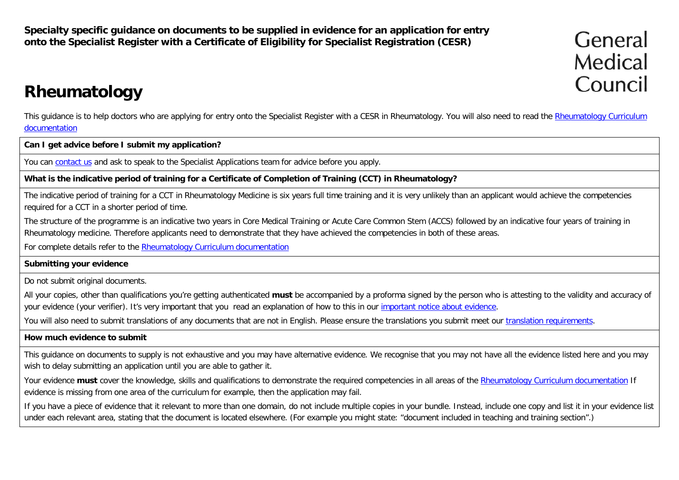**Specialty specific guidance on documents to be supplied in evidence for an application for entry onto the Specialist Register with a Certificate of Eligibility for Specialist Registration (CESR)**

General Medical Council

# **Rheumatology**

This guidance is to help doctors who are applying for entry onto the Specialist Register with a CESR in [Rheumatology](http://www.gmc-uk.org/education/postgraduate/rheumatology.asp). You will also need to read the Rheumatology Curriculum [documentation](http://www.gmc-uk.org/education/postgraduate/rheumatology.asp)

**Can I get advice before I submit my application?**

You can [contact us](http://www.gmc-uk.org/contact.asp) and ask to speak to the Specialist Applications team for advice before you apply.

**What is the indicative period of training for a Certificate of Completion of Training (CCT) in Rheumatology?**

The indicative period of training for a CCT in Rheumatology Medicine is six years full time training and it is very unlikely than an applicant would achieve the competencies required for a CCT in a shorter period of time.

The structure of the programme is an indicative two years in Core Medical Training or Acute Care Common Stem (ACCS) followed by an indicative four years of training in Rheumatology medicine. Therefore applicants need to demonstrate that they have achieved the competencies in both of these areas.

For complete details refer to the [Rheumatology Curriculum documentation](http://www.gmc-uk.org/education/postgraduate/rheumatology.asp)

### **Submitting your evidence**

Do not submit original documents.

All your copies, other than qualifications you're getting authenticated **must** be accompanied by a proforma signed by the person who is attesting to the validity and accuracy of your evidence (your verifier). It's very important that you read an explanation of how to this in our *important notice about evidence*.

You will also need to submit translations of any documents that are not in English. Please ensure the translations you submit meet our [translation requirements.](http://www.gmc-uk.org/doctors/translations.asp)

### **How much evidence to submit**

This guidance on documents to supply is not exhaustive and you may have alternative evidence. We recognise that you may not have all the evidence listed here and you may wish to delay submitting an application until you are able to gather it.

Your evidence **must** cover the knowledge, skills and qualifications to demonstrate the required competencies in all areas of the [Rheumatology Curriculum documentation](http://www.gmc-uk.org/education/postgraduate/rheumatology.asp) If evidence is missing from one area of the curriculum for example, then the application may fail.

If you have a piece of evidence that it relevant to more than one domain, do not include multiple copies in your bundle. Instead, include one copy and list it in your evidence list under each relevant area, stating that the document is located elsewhere. (For example you might state: "document included in teaching and training section".)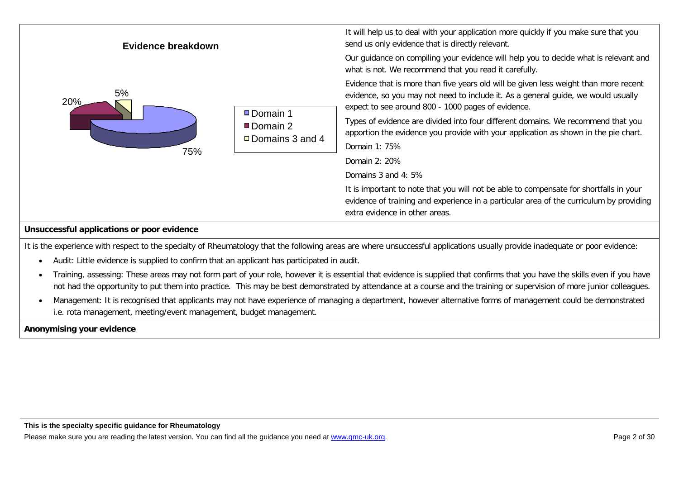

It is the experience with respect to the specialty of Rheumatology that the following areas are where unsuccessful applications usually provide inadequate or poor evidence:

- Audit: Little evidence is supplied to confirm that an applicant has participated in audit.
- Training, assessing: These areas may not form part of your role, however it is essential that evidence is supplied that confirms that you have the skills even if you have not had the opportunity to put them into practice. This may be best demonstrated by attendance at a course and the training or supervision of more junior colleagues.
- Management: It is recognised that applicants may not have experience of managing a department, however alternative forms of management could be demonstrated i.e. rota management, meeting/event management, budget management.

**Anonymising your evidence**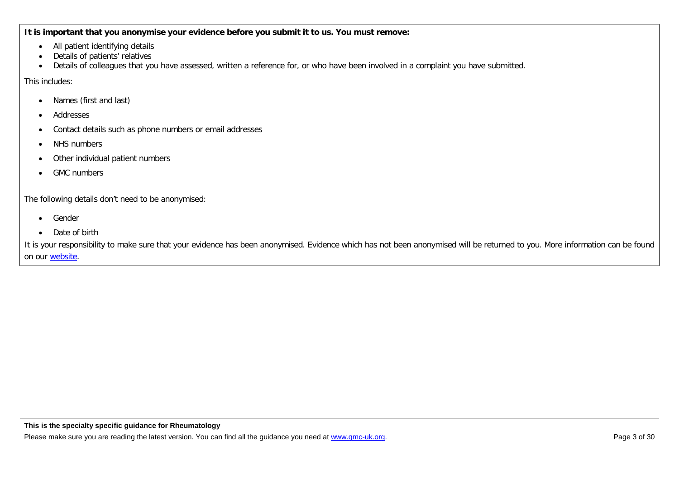**It is important that you anonymise your evidence before you submit it to us. You must remove:**

- All patient identifying details
- Details of patients' relatives
- Details of colleagues that you have assessed, written a reference for, or who have been involved in a complaint you have submitted.

This includes:

- Names (first and last)
- Addresses
- Contact details such as phone numbers or email addresses
- NHS numbers
- Other individual patient numbers
- GMC numbers

The following details don't need to be anonymised:

- Gender
- Date of birth

It is your responsibility to make sure that your evidence has been anonymised. Evidence which has not been anonymised will be returned to you. More information can be found on our [website.](http://www.gmc-uk.org/doctors/24769.asp)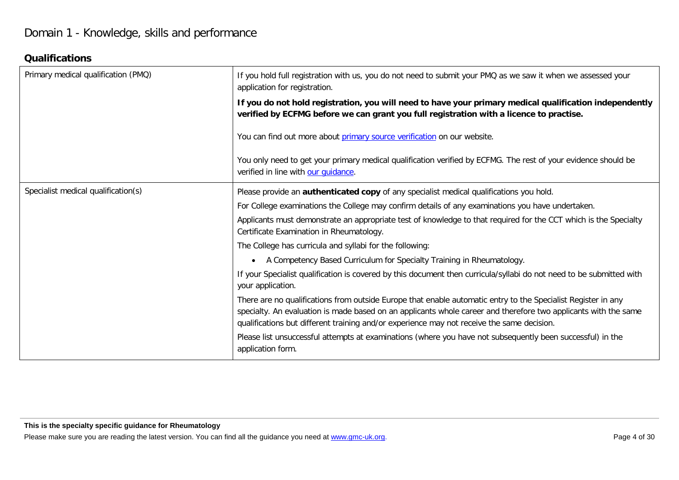# **Qualifications**

| Primary medical qualification (PMQ) | If you hold full registration with us, you do not need to submit your PMQ as we saw it when we assessed your<br>application for registration.                                                                                                                                                                                  |
|-------------------------------------|--------------------------------------------------------------------------------------------------------------------------------------------------------------------------------------------------------------------------------------------------------------------------------------------------------------------------------|
|                                     | If you do not hold registration, you will need to have your primary medical qualification independently<br>verified by ECFMG before we can grant you full registration with a licence to practise.                                                                                                                             |
|                                     | You can find out more about primary source verification on our website.                                                                                                                                                                                                                                                        |
|                                     | You only need to get your primary medical qualification verified by ECFMG. The rest of your evidence should be<br>verified in line with our quidance.                                                                                                                                                                          |
| Specialist medical qualification(s) | Please provide an authenticated copy of any specialist medical qualifications you hold.                                                                                                                                                                                                                                        |
|                                     | For College examinations the College may confirm details of any examinations you have undertaken.                                                                                                                                                                                                                              |
|                                     | Applicants must demonstrate an appropriate test of knowledge to that required for the CCT which is the Specialty<br>Certificate Examination in Rheumatology.                                                                                                                                                                   |
|                                     | The College has curricula and syllabi for the following:                                                                                                                                                                                                                                                                       |
|                                     | A Competency Based Curriculum for Specialty Training in Rheumatology.<br>$\bullet$                                                                                                                                                                                                                                             |
|                                     | If your Specialist qualification is covered by this document then curricula/syllabi do not need to be submitted with<br>your application.                                                                                                                                                                                      |
|                                     | There are no qualifications from outside Europe that enable automatic entry to the Specialist Register in any<br>specialty. An evaluation is made based on an applicants whole career and therefore two applicants with the same<br>qualifications but different training and/or experience may not receive the same decision. |
|                                     | Please list unsuccessful attempts at examinations (where you have not subsequently been successful) in the<br>application form.                                                                                                                                                                                                |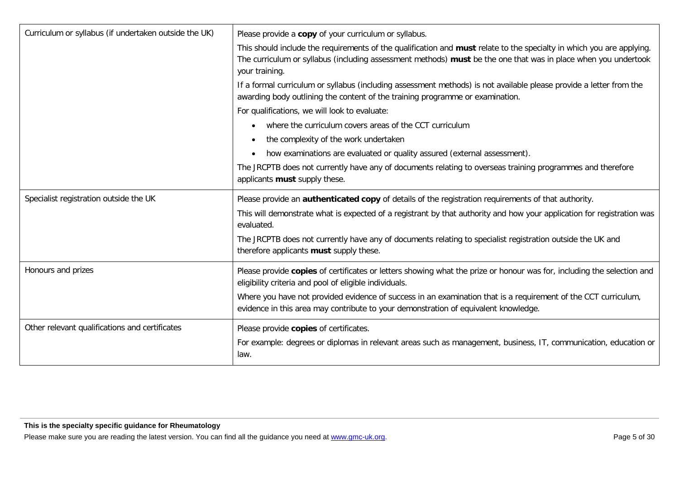| Curriculum or syllabus (if undertaken outside the UK) | Please provide a copy of your curriculum or syllabus.                                                                                                                                                                                                     |
|-------------------------------------------------------|-----------------------------------------------------------------------------------------------------------------------------------------------------------------------------------------------------------------------------------------------------------|
|                                                       | This should include the requirements of the qualification and must relate to the specialty in which you are applying.<br>The curriculum or syllabus (including assessment methods) must be the one that was in place when you undertook<br>your training. |
|                                                       | If a formal curriculum or syllabus (including assessment methods) is not available please provide a letter from the<br>awarding body outlining the content of the training programme or examination.                                                      |
|                                                       | For qualifications, we will look to evaluate:                                                                                                                                                                                                             |
|                                                       | where the curriculum covers areas of the CCT curriculum<br>$\bullet$                                                                                                                                                                                      |
|                                                       | the complexity of the work undertaken<br>$\bullet$                                                                                                                                                                                                        |
|                                                       | how examinations are evaluated or quality assured (external assessment).<br>$\bullet$                                                                                                                                                                     |
|                                                       | The JRCPTB does not currently have any of documents relating to overseas training programmes and therefore<br>applicants must supply these.                                                                                                               |
| Specialist registration outside the UK                | Please provide an <b>authenticated copy</b> of details of the registration requirements of that authority.                                                                                                                                                |
|                                                       | This will demonstrate what is expected of a registrant by that authority and how your application for registration was<br>evaluated.                                                                                                                      |
|                                                       | The JRCPTB does not currently have any of documents relating to specialist registration outside the UK and<br>therefore applicants must supply these.                                                                                                     |
| Honours and prizes                                    | Please provide copies of certificates or letters showing what the prize or honour was for, including the selection and<br>eligibility criteria and pool of eligible individuals.                                                                          |
|                                                       | Where you have not provided evidence of success in an examination that is a requirement of the CCT curriculum,<br>evidence in this area may contribute to your demonstration of equivalent knowledge.                                                     |
| Other relevant qualifications and certificates        | Please provide copies of certificates.<br>For example: degrees or diplomas in relevant areas such as management, business, IT, communication, education or<br>law.                                                                                        |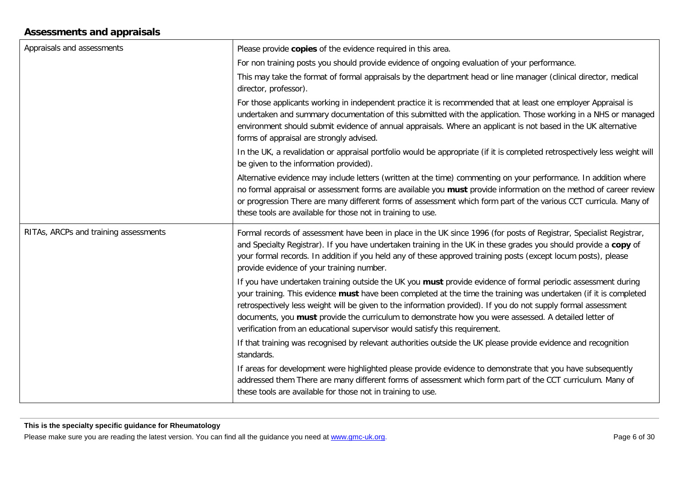# **Assessments and appraisals**

| Appraisals and assessments            | Please provide copies of the evidence required in this area.                                                                                                                                                                                                                                                                                                                                                                                                                                                                                 |
|---------------------------------------|----------------------------------------------------------------------------------------------------------------------------------------------------------------------------------------------------------------------------------------------------------------------------------------------------------------------------------------------------------------------------------------------------------------------------------------------------------------------------------------------------------------------------------------------|
|                                       | For non training posts you should provide evidence of ongoing evaluation of your performance.                                                                                                                                                                                                                                                                                                                                                                                                                                                |
|                                       | This may take the format of formal appraisals by the department head or line manager (clinical director, medical<br>director, professor).                                                                                                                                                                                                                                                                                                                                                                                                    |
|                                       | For those applicants working in independent practice it is recommended that at least one employer Appraisal is<br>undertaken and summary documentation of this submitted with the application. Those working in a NHS or managed<br>environment should submit evidence of annual appraisals. Where an applicant is not based in the UK alternative<br>forms of appraisal are strongly advised.                                                                                                                                               |
|                                       | In the UK, a revalidation or appraisal portfolio would be appropriate (if it is completed retrospectively less weight will<br>be given to the information provided).                                                                                                                                                                                                                                                                                                                                                                         |
|                                       | Alternative evidence may include letters (written at the time) commenting on your performance. In addition where<br>no formal appraisal or assessment forms are available you must provide information on the method of career review<br>or progression There are many different forms of assessment which form part of the various CCT curricula. Many of<br>these tools are available for those not in training to use.                                                                                                                    |
| RITAs, ARCPs and training assessments | Formal records of assessment have been in place in the UK since 1996 (for posts of Registrar, Specialist Registrar,<br>and Specialty Registrar). If you have undertaken training in the UK in these grades you should provide a copy of<br>your formal records. In addition if you held any of these approved training posts (except locum posts), please<br>provide evidence of your training number.                                                                                                                                       |
|                                       | If you have undertaken training outside the UK you must provide evidence of formal periodic assessment during<br>your training. This evidence must have been completed at the time the training was undertaken (if it is completed<br>retrospectively less weight will be given to the information provided). If you do not supply formal assessment<br>documents, you must provide the curriculum to demonstrate how you were assessed. A detailed letter of<br>verification from an educational supervisor would satisfy this requirement. |
|                                       | If that training was recognised by relevant authorities outside the UK please provide evidence and recognition<br>standards.                                                                                                                                                                                                                                                                                                                                                                                                                 |
|                                       | If areas for development were highlighted please provide evidence to demonstrate that you have subsequently<br>addressed them There are many different forms of assessment which form part of the CCT curriculum. Many of<br>these tools are available for those not in training to use.                                                                                                                                                                                                                                                     |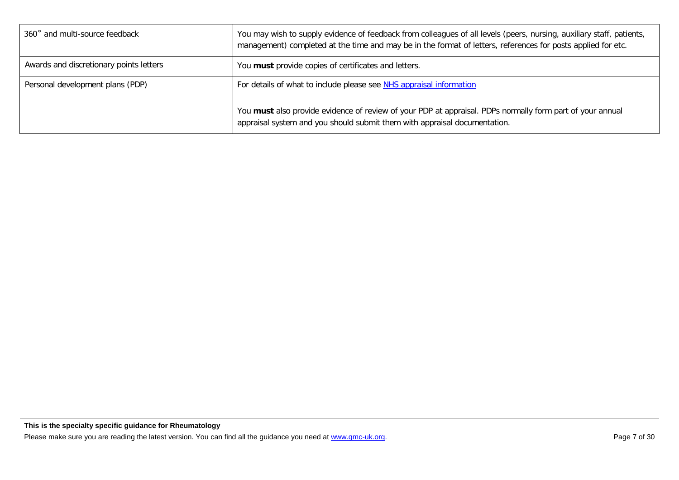| 360° and multi-source feedback          | You may wish to supply evidence of feedback from colleagues of all levels (peers, nursing, auxiliary staff, patients,<br>management) completed at the time and may be in the format of letters, references for posts applied for etc. |
|-----------------------------------------|---------------------------------------------------------------------------------------------------------------------------------------------------------------------------------------------------------------------------------------|
| Awards and discretionary points letters | You must provide copies of certificates and letters.                                                                                                                                                                                  |
| Personal development plans (PDP)        | For details of what to include please see NHS appraisal information                                                                                                                                                                   |
|                                         | You must also provide evidence of review of your PDP at appraisal. PDPs normally form part of your annual<br>appraisal system and you should submit them with appraisal documentation.                                                |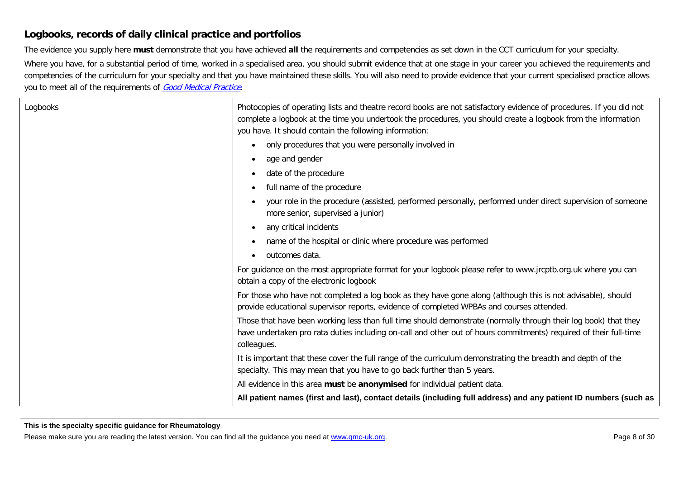### **Logbooks, records of daily clinical practice and portfolios**

The evidence you supply here **must** demonstrate that you have achieved **all** the requirements and competencies as set down in the CCT curriculum for your specialty.

Where you have, for a substantial period of time, worked in a specialised area, you should submit evidence that at one stage in your career you achieved the requirements and competencies of the curriculum for your specialty and that you have maintained these skills. You will also need to provide evidence that your current specialised practice allows you to meet all of the requirements of [Good Medical Practice](http://www.gmc-uk.org/guidance/good_medical_practice.asp).

| Logbooks | Photocopies of operating lists and theatre record books are not satisfactory evidence of procedures. If you did not<br>complete a logbook at the time you undertook the procedures, you should create a logbook from the information<br>you have. It should contain the following information: |
|----------|------------------------------------------------------------------------------------------------------------------------------------------------------------------------------------------------------------------------------------------------------------------------------------------------|
|          | only procedures that you were personally involved in<br>$\bullet$                                                                                                                                                                                                                              |
|          | age and gender<br>$\bullet$                                                                                                                                                                                                                                                                    |
|          | date of the procedure<br>$\bullet$                                                                                                                                                                                                                                                             |
|          | full name of the procedure<br>$\bullet$                                                                                                                                                                                                                                                        |
|          | your role in the procedure (assisted, performed personally, performed under direct supervision of someone<br>more senior, supervised a junior)                                                                                                                                                 |
|          | any critical incidents<br>$\bullet$                                                                                                                                                                                                                                                            |
|          | name of the hospital or clinic where procedure was performed<br>$\bullet$                                                                                                                                                                                                                      |
|          | outcomes data.<br>$\bullet$                                                                                                                                                                                                                                                                    |
|          | For guidance on the most appropriate format for your logbook please refer to www.jrcptb.org.uk where you can<br>obtain a copy of the electronic logbook                                                                                                                                        |
|          | For those who have not completed a log book as they have gone along (although this is not advisable), should<br>provide educational supervisor reports, evidence of completed WPBAs and courses attended.                                                                                      |
|          | Those that have been working less than full time should demonstrate (normally through their log book) that they<br>have undertaken pro rata duties including on-call and other out of hours commitments) required of their full-time<br>colleagues.                                            |
|          | It is important that these cover the full range of the curriculum demonstrating the breadth and depth of the<br>specialty. This may mean that you have to go back further than 5 years.                                                                                                        |
|          | All evidence in this area must be anonymised for individual patient data.                                                                                                                                                                                                                      |
|          | All patient names (first and last), contact details (including full address) and any patient ID numbers (such as                                                                                                                                                                               |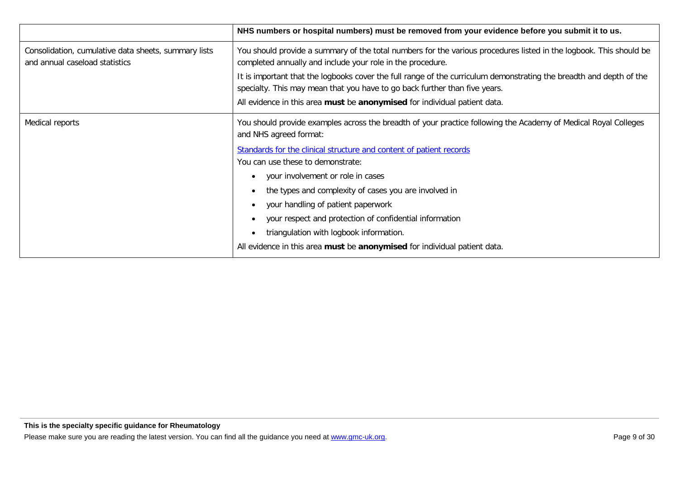|                                                                                        | NHS numbers or hospital numbers) must be removed from your evidence before you submit it to us.                                                                                                                                                                                                                                                                                                                                                                                                                                                                              |
|----------------------------------------------------------------------------------------|------------------------------------------------------------------------------------------------------------------------------------------------------------------------------------------------------------------------------------------------------------------------------------------------------------------------------------------------------------------------------------------------------------------------------------------------------------------------------------------------------------------------------------------------------------------------------|
| Consolidation, cumulative data sheets, summary lists<br>and annual caseload statistics | You should provide a summary of the total numbers for the various procedures listed in the logbook. This should be<br>completed annually and include your role in the procedure.<br>It is important that the logbooks cover the full range of the curriculum demonstrating the breadth and depth of the<br>specialty. This may mean that you have to go back further than five years.<br>All evidence in this area must be anonymised for individual patient data.                                                                                                           |
| Medical reports                                                                        | You should provide examples across the breadth of your practice following the Academy of Medical Royal Colleges<br>and NHS agreed format:<br>Standards for the clinical structure and content of patient records<br>You can use these to demonstrate:<br>your involvement or role in cases<br>the types and complexity of cases you are involved in<br>your handling of patient paperwork<br>your respect and protection of confidential information<br>triangulation with logbook information.<br>All evidence in this area must be anonymised for individual patient data. |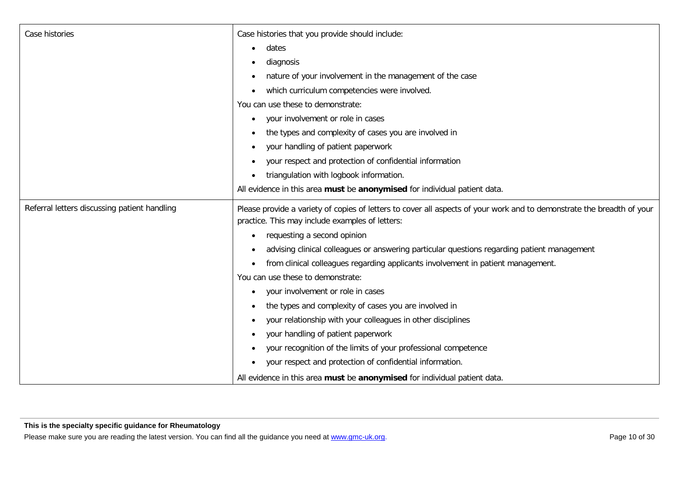| Case histories                               | Case histories that you provide should include:                                                                                                                           |
|----------------------------------------------|---------------------------------------------------------------------------------------------------------------------------------------------------------------------------|
|                                              | dates                                                                                                                                                                     |
|                                              | diagnosis                                                                                                                                                                 |
|                                              | nature of your involvement in the management of the case                                                                                                                  |
|                                              | which curriculum competencies were involved.                                                                                                                              |
|                                              | You can use these to demonstrate:                                                                                                                                         |
|                                              | your involvement or role in cases<br>$\bullet$                                                                                                                            |
|                                              | the types and complexity of cases you are involved in<br>٠                                                                                                                |
|                                              | your handling of patient paperwork                                                                                                                                        |
|                                              | your respect and protection of confidential information<br>$\bullet$                                                                                                      |
|                                              | triangulation with logbook information.                                                                                                                                   |
|                                              | All evidence in this area must be anonymised for individual patient data.                                                                                                 |
| Referral letters discussing patient handling | Please provide a variety of copies of letters to cover all aspects of your work and to demonstrate the breadth of your<br>practice. This may include examples of letters: |
|                                              | requesting a second opinion                                                                                                                                               |
|                                              | advising clinical colleagues or answering particular questions regarding patient management<br>٠                                                                          |
|                                              | from clinical colleagues regarding applicants involvement in patient management.<br>$\bullet$                                                                             |
|                                              | You can use these to demonstrate:                                                                                                                                         |
|                                              | your involvement or role in cases                                                                                                                                         |
|                                              | the types and complexity of cases you are involved in<br>$\bullet$                                                                                                        |
|                                              | your relationship with your colleagues in other disciplines                                                                                                               |
|                                              | your handling of patient paperwork<br>٠                                                                                                                                   |
|                                              | your recognition of the limits of your professional competence                                                                                                            |
|                                              | your respect and protection of confidential information.                                                                                                                  |
|                                              | All evidence in this area must be anonymised for individual patient data.                                                                                                 |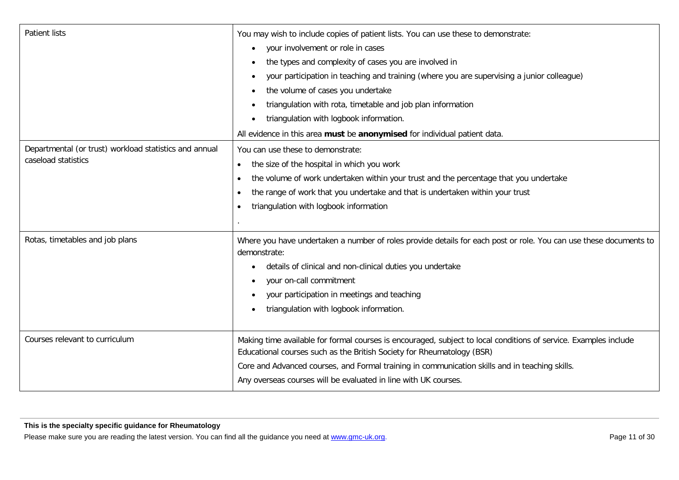| <b>Patient lists</b>                                                          | You may wish to include copies of patient lists. You can use these to demonstrate:<br>your involvement or role in cases<br>$\bullet$<br>the types and complexity of cases you are involved in<br>your participation in teaching and training (where you are supervising a junior colleague)<br>٠<br>the volume of cases you undertake<br>$\bullet$<br>triangulation with rota, timetable and job plan information<br>triangulation with logbook information.<br>All evidence in this area must be anonymised for individual patient data. |
|-------------------------------------------------------------------------------|-------------------------------------------------------------------------------------------------------------------------------------------------------------------------------------------------------------------------------------------------------------------------------------------------------------------------------------------------------------------------------------------------------------------------------------------------------------------------------------------------------------------------------------------|
| Departmental (or trust) workload statistics and annual<br>caseload statistics | You can use these to demonstrate:<br>the size of the hospital in which you work<br>$\bullet$<br>the volume of work undertaken within your trust and the percentage that you undertake<br>$\bullet$<br>the range of work that you undertake and that is undertaken within your trust<br>$\bullet$<br>triangulation with logbook information<br>$\bullet$                                                                                                                                                                                   |
| Rotas, timetables and job plans                                               | Where you have undertaken a number of roles provide details for each post or role. You can use these documents to<br>demonstrate:<br>details of clinical and non-clinical duties you undertake<br>your on-call commitment<br>$\bullet$<br>your participation in meetings and teaching<br>triangulation with logbook information.                                                                                                                                                                                                          |
| Courses relevant to curriculum                                                | Making time available for formal courses is encouraged, subject to local conditions of service. Examples include<br>Educational courses such as the British Society for Rheumatology (BSR)<br>Core and Advanced courses, and Formal training in communication skills and in teaching skills.<br>Any overseas courses will be evaluated in line with UK courses.                                                                                                                                                                           |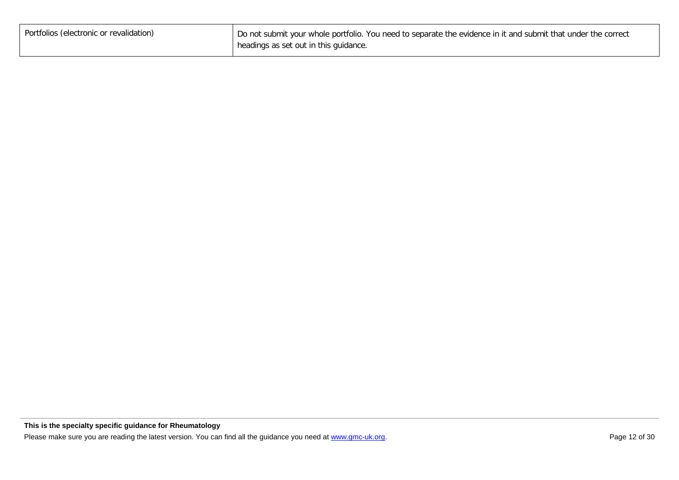| Portfolios (electronic or revalidation) | Do not submit your whole portfolio. You need to separate the evidence in it and submit that under the correct |
|-----------------------------------------|---------------------------------------------------------------------------------------------------------------|
|                                         | headings as set out in this guidance.                                                                         |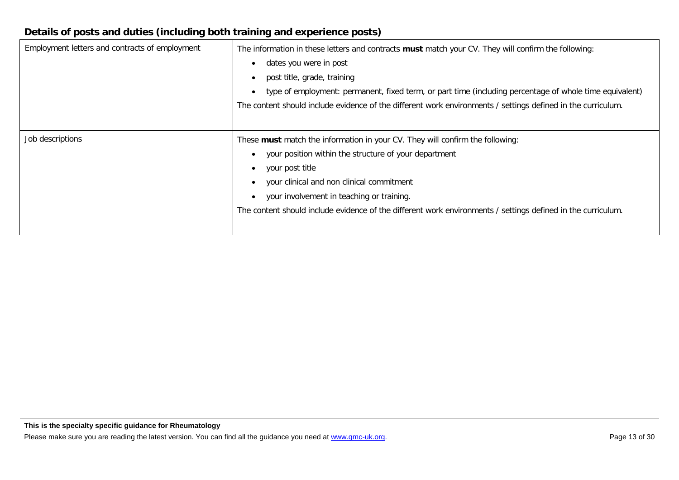# **Details of posts and duties (including both training and experience posts)**

| Employment letters and contracts of employment | The information in these letters and contracts must match your CV. They will confirm the following:<br>dates you were in post<br>post title, grade, training<br>type of employment: permanent, fixed term, or part time (including percentage of whole time equivalent)<br>The content should include evidence of the different work environments / settings defined in the curriculum. |
|------------------------------------------------|-----------------------------------------------------------------------------------------------------------------------------------------------------------------------------------------------------------------------------------------------------------------------------------------------------------------------------------------------------------------------------------------|
| Job descriptions                               | These must match the information in your CV. They will confirm the following:<br>your position within the structure of your department<br>your post title<br>your clinical and non clinical commitment<br>your involvement in teaching or training.<br>The content should include evidence of the different work environments / settings defined in the curriculum.                     |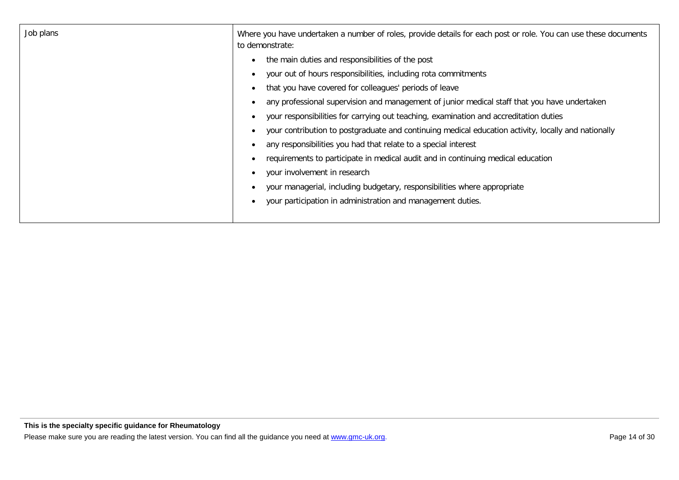| Job plans | Where you have undertaken a number of roles, provide details for each post or role. You can use these documents<br>to demonstrate: |
|-----------|------------------------------------------------------------------------------------------------------------------------------------|
|           | the main duties and responsibilities of the post                                                                                   |
|           | your out of hours responsibilities, including rota commitments                                                                     |
|           | that you have covered for colleagues' periods of leave                                                                             |
|           | any professional supervision and management of junior medical staff that you have undertaken                                       |
|           | your responsibilities for carrying out teaching, examination and accreditation duties                                              |
|           | your contribution to postgraduate and continuing medical education activity, locally and nationally                                |
|           | any responsibilities you had that relate to a special interest                                                                     |
|           | requirements to participate in medical audit and in continuing medical education                                                   |
|           | your involvement in research                                                                                                       |
|           | your managerial, including budgetary, responsibilities where appropriate                                                           |
|           | your participation in administration and management duties.                                                                        |
|           |                                                                                                                                    |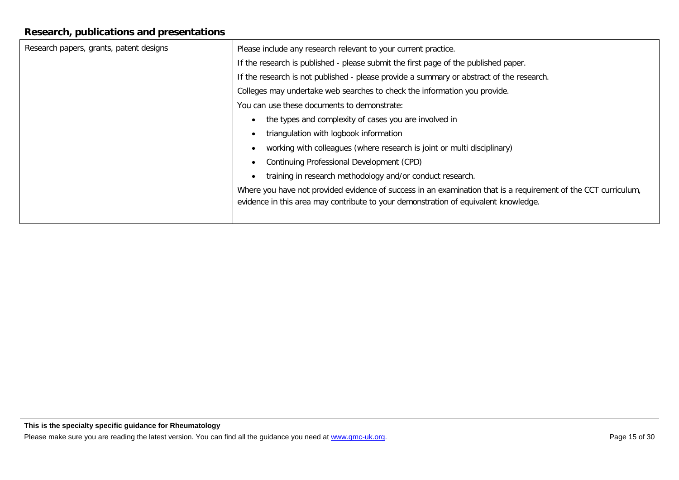# **Research, publications and presentations**

| Please include any research relevant to your current practice.                                                                                                                                        |
|-------------------------------------------------------------------------------------------------------------------------------------------------------------------------------------------------------|
| If the research is published - please submit the first page of the published paper.                                                                                                                   |
| If the research is not published - please provide a summary or abstract of the research.                                                                                                              |
| Colleges may undertake web searches to check the information you provide.                                                                                                                             |
| You can use these documents to demonstrate:                                                                                                                                                           |
| the types and complexity of cases you are involved in<br>$\bullet$                                                                                                                                    |
| triangulation with logbook information                                                                                                                                                                |
| working with colleagues (where research is joint or multi disciplinary)                                                                                                                               |
| Continuing Professional Development (CPD)<br>$\bullet$                                                                                                                                                |
| training in research methodology and/or conduct research.                                                                                                                                             |
| Where you have not provided evidence of success in an examination that is a requirement of the CCT curriculum,<br>evidence in this area may contribute to your demonstration of equivalent knowledge. |
|                                                                                                                                                                                                       |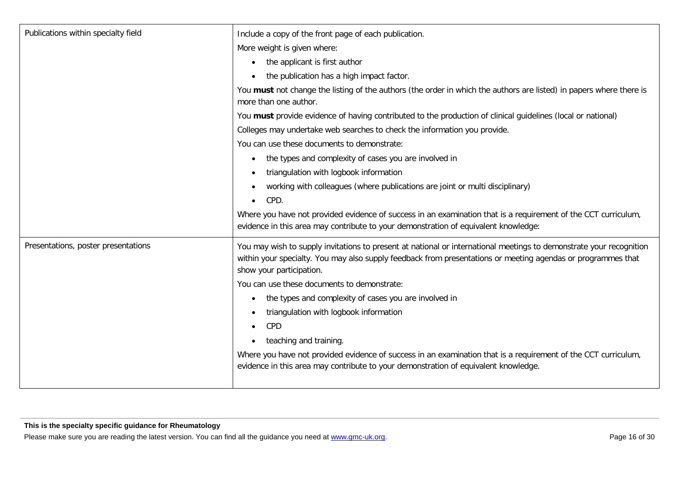| Publications within specialty field | Include a copy of the front page of each publication.                                                                                                                                                                                                           |
|-------------------------------------|-----------------------------------------------------------------------------------------------------------------------------------------------------------------------------------------------------------------------------------------------------------------|
|                                     | More weight is given where:                                                                                                                                                                                                                                     |
|                                     | the applicant is first author<br>$\bullet$                                                                                                                                                                                                                      |
|                                     | the publication has a high impact factor.                                                                                                                                                                                                                       |
|                                     | You must not change the listing of the authors (the order in which the authors are listed) in papers where there is<br>more than one author.                                                                                                                    |
|                                     | You must provide evidence of having contributed to the production of clinical guidelines (local or national)                                                                                                                                                    |
|                                     | Colleges may undertake web searches to check the information you provide.                                                                                                                                                                                       |
|                                     | You can use these documents to demonstrate:                                                                                                                                                                                                                     |
|                                     | the types and complexity of cases you are involved in<br>$\bullet$                                                                                                                                                                                              |
|                                     | triangulation with logbook information<br>$\bullet$                                                                                                                                                                                                             |
|                                     | working with colleagues (where publications are joint or multi disciplinary)<br>$\bullet$                                                                                                                                                                       |
|                                     | CPD.<br>$\bullet$                                                                                                                                                                                                                                               |
|                                     | Where you have not provided evidence of success in an examination that is a requirement of the CCT curriculum,<br>evidence in this area may contribute to your demonstration of equivalent knowledge:                                                           |
| Presentations, poster presentations | You may wish to supply invitations to present at national or international meetings to demonstrate your recognition<br>within your specialty. You may also supply feedback from presentations or meeting agendas or programmes that<br>show your participation. |
|                                     | You can use these documents to demonstrate:                                                                                                                                                                                                                     |
|                                     | the types and complexity of cases you are involved in<br>٠                                                                                                                                                                                                      |
|                                     | triangulation with logbook information<br>$\bullet$                                                                                                                                                                                                             |
|                                     | CPD<br>$\bullet$                                                                                                                                                                                                                                                |
|                                     | teaching and training.<br>٠                                                                                                                                                                                                                                     |
|                                     | Where you have not provided evidence of success in an examination that is a requirement of the CCT curriculum,                                                                                                                                                  |
|                                     | evidence in this area may contribute to your demonstration of equivalent knowledge.                                                                                                                                                                             |
|                                     |                                                                                                                                                                                                                                                                 |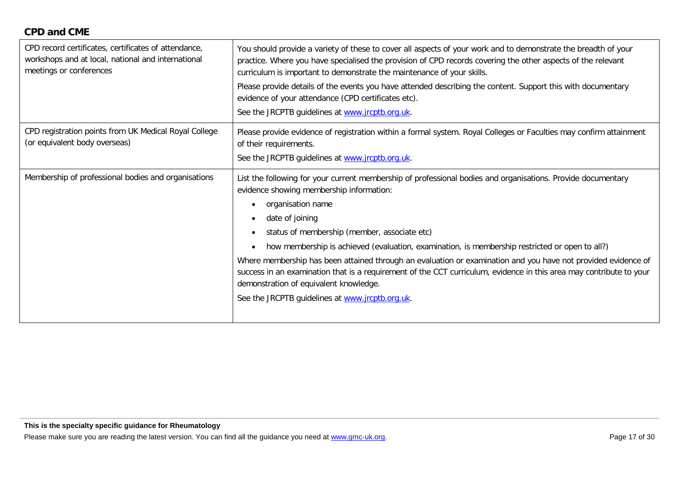## **CPD and CME**

| CPD record certificates, certificates of attendance,<br>workshops and at local, national and international<br>meetings or conferences | You should provide a variety of these to cover all aspects of your work and to demonstrate the breadth of your<br>practice. Where you have specialised the provision of CPD records covering the other aspects of the relevant<br>curriculum is important to demonstrate the maintenance of your skills.<br>Please provide details of the events you have attended describing the content. Support this with documentary<br>evidence of your attendance (CPD certificates etc).<br>See the JRCPTB guidelines at www.jrcptb.org.uk.                                                                                                                                                                                                          |
|---------------------------------------------------------------------------------------------------------------------------------------|---------------------------------------------------------------------------------------------------------------------------------------------------------------------------------------------------------------------------------------------------------------------------------------------------------------------------------------------------------------------------------------------------------------------------------------------------------------------------------------------------------------------------------------------------------------------------------------------------------------------------------------------------------------------------------------------------------------------------------------------|
| CPD registration points from UK Medical Royal College<br>(or equivalent body overseas)                                                | Please provide evidence of registration within a formal system. Royal Colleges or Faculties may confirm attainment<br>of their requirements.<br>See the JRCPTB guidelines at www.jrcptb.org.uk.                                                                                                                                                                                                                                                                                                                                                                                                                                                                                                                                             |
| Membership of professional bodies and organisations                                                                                   | List the following for your current membership of professional bodies and organisations. Provide documentary<br>evidence showing membership information:<br>organisation name<br>$\bullet$<br>date of joining<br>$\bullet$<br>status of membership (member, associate etc)<br>$\bullet$<br>how membership is achieved (evaluation, examination, is membership restricted or open to all?)<br>$\bullet$<br>Where membership has been attained through an evaluation or examination and you have not provided evidence of<br>success in an examination that is a requirement of the CCT curriculum, evidence in this area may contribute to your<br>demonstration of equivalent knowledge.<br>See the JRCPTB guidelines at www.jrcptb.org.uk. |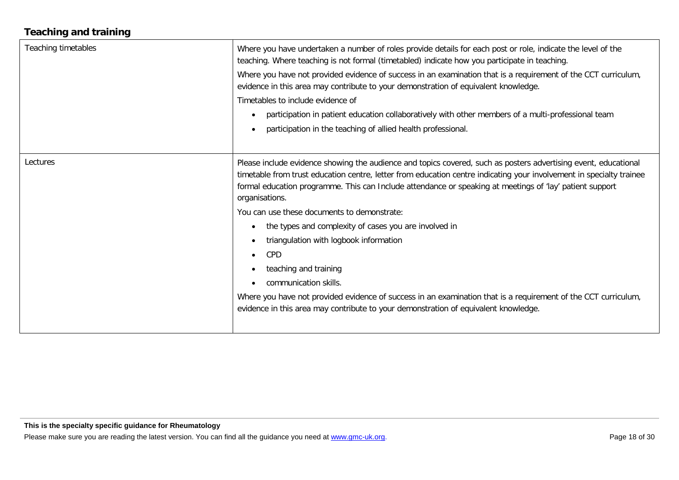# **Teaching and training**

| Teaching timetables | Where you have undertaken a number of roles provide details for each post or role, indicate the level of the<br>teaching. Where teaching is not formal (timetabled) indicate how you participate in teaching.<br>Where you have not provided evidence of success in an examination that is a requirement of the CCT curriculum,<br>evidence in this area may contribute to your demonstration of equivalent knowledge.<br>Timetables to include evidence of<br>participation in patient education collaboratively with other members of a multi-professional team<br>participation in the teaching of allied health professional.                                                                                                                                                                                                                    |
|---------------------|------------------------------------------------------------------------------------------------------------------------------------------------------------------------------------------------------------------------------------------------------------------------------------------------------------------------------------------------------------------------------------------------------------------------------------------------------------------------------------------------------------------------------------------------------------------------------------------------------------------------------------------------------------------------------------------------------------------------------------------------------------------------------------------------------------------------------------------------------|
| Lectures            | Please include evidence showing the audience and topics covered, such as posters advertising event, educational<br>timetable from trust education centre, letter from education centre indicating your involvement in specialty trainee<br>formal education programme. This can Include attendance or speaking at meetings of 'lay' patient support<br>organisations.<br>You can use these documents to demonstrate:<br>the types and complexity of cases you are involved in<br>$\bullet$<br>triangulation with logbook information<br>$\bullet$<br><b>CPD</b><br>$\bullet$<br>teaching and training<br>$\bullet$<br>communication skills.<br>Where you have not provided evidence of success in an examination that is a requirement of the CCT curriculum,<br>evidence in this area may contribute to your demonstration of equivalent knowledge. |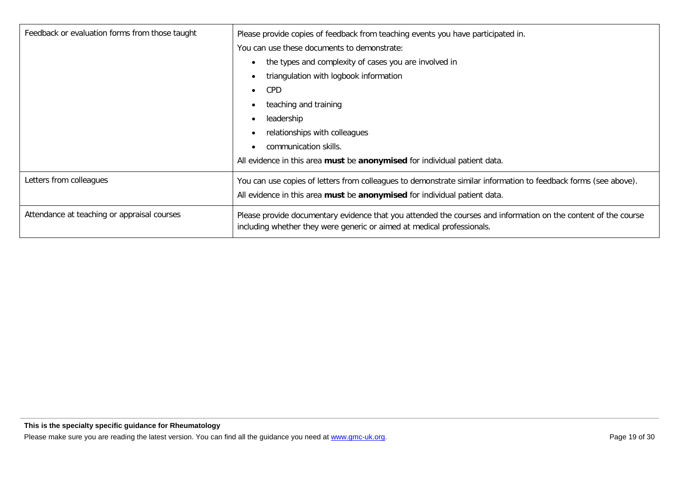| Feedback or evaluation forms from those taught | Please provide copies of feedback from teaching events you have participated in.                                                                                                         |
|------------------------------------------------|------------------------------------------------------------------------------------------------------------------------------------------------------------------------------------------|
|                                                | You can use these documents to demonstrate:                                                                                                                                              |
|                                                | the types and complexity of cases you are involved in                                                                                                                                    |
|                                                | triangulation with logbook information                                                                                                                                                   |
|                                                | <b>CPD</b><br>$\bullet$                                                                                                                                                                  |
|                                                | teaching and training                                                                                                                                                                    |
|                                                | leadership                                                                                                                                                                               |
|                                                | relationships with colleagues                                                                                                                                                            |
|                                                | communication skills.                                                                                                                                                                    |
|                                                | All evidence in this area must be anonymised for individual patient data.                                                                                                                |
| Letters from colleagues                        | You can use copies of letters from colleagues to demonstrate similar information to feedback forms (see above).                                                                          |
|                                                | All evidence in this area must be anonymised for individual patient data.                                                                                                                |
| Attendance at teaching or appraisal courses    | Please provide documentary evidence that you attended the courses and information on the content of the course<br>including whether they were generic or aimed at medical professionals. |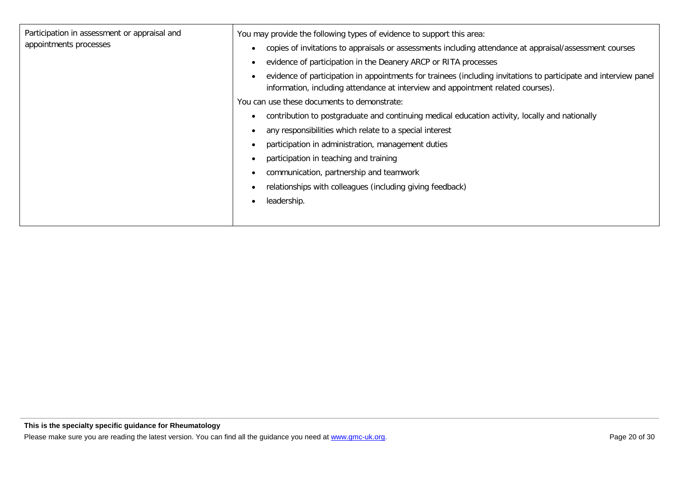| Participation in assessment or appraisal and | You may provide the following types of evidence to support this area:                                                                                                                                |
|----------------------------------------------|------------------------------------------------------------------------------------------------------------------------------------------------------------------------------------------------------|
| appointments processes                       | copies of invitations to appraisals or assessments including attendance at appraisal/assessment courses                                                                                              |
|                                              | evidence of participation in the Deanery ARCP or RITA processes                                                                                                                                      |
|                                              | evidence of participation in appointments for trainees (including invitations to participate and interview panel<br>information, including attendance at interview and appointment related courses). |
|                                              | You can use these documents to demonstrate:                                                                                                                                                          |
|                                              | contribution to postgraduate and continuing medical education activity, locally and nationally                                                                                                       |
|                                              | any responsibilities which relate to a special interest                                                                                                                                              |
|                                              | participation in administration, management duties                                                                                                                                                   |
|                                              | participation in teaching and training                                                                                                                                                               |
|                                              | communication, partnership and teamwork                                                                                                                                                              |
|                                              | relationships with colleagues (including giving feedback)                                                                                                                                            |
|                                              | leadership.                                                                                                                                                                                          |
|                                              |                                                                                                                                                                                                      |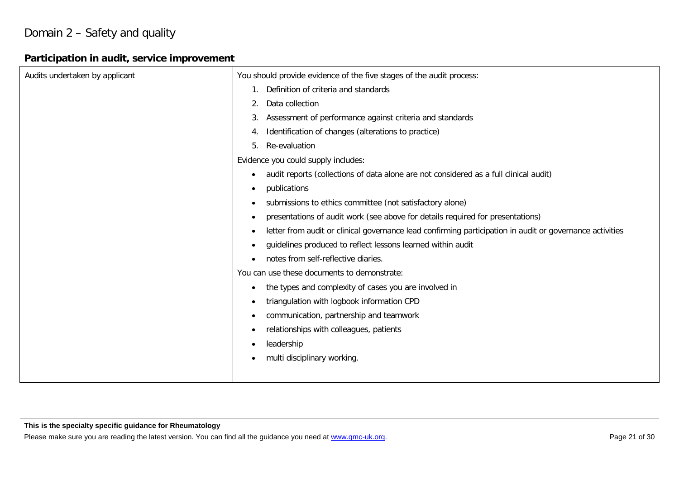# Domain 2 – Safety and quality

# **Participation in audit, service improvement**

| Audits undertaken by applicant | You should provide evidence of the five stages of the audit process:                                                  |
|--------------------------------|-----------------------------------------------------------------------------------------------------------------------|
|                                | Definition of criteria and standards                                                                                  |
|                                | Data collection<br>2.                                                                                                 |
|                                | Assessment of performance against criteria and standards<br>3.                                                        |
|                                | Identification of changes (alterations to practice)<br>4.                                                             |
|                                | Re-evaluation<br>5.                                                                                                   |
|                                | Evidence you could supply includes:                                                                                   |
|                                | audit reports (collections of data alone are not considered as a full clinical audit)<br>$\bullet$                    |
|                                | publications<br>$\bullet$                                                                                             |
|                                | submissions to ethics committee (not satisfactory alone)<br>$\bullet$                                                 |
|                                | presentations of audit work (see above for details required for presentations)<br>$\bullet$                           |
|                                | letter from audit or clinical governance lead confirming participation in audit or governance activities<br>$\bullet$ |
|                                | guidelines produced to reflect lessons learned within audit<br>$\bullet$                                              |
|                                | notes from self-reflective diaries.<br>$\bullet$                                                                      |
|                                | You can use these documents to demonstrate:                                                                           |
|                                | the types and complexity of cases you are involved in<br>$\bullet$                                                    |
|                                | triangulation with logbook information CPD                                                                            |
|                                | communication, partnership and teamwork<br>$\bullet$                                                                  |
|                                | relationships with colleagues, patients<br>$\bullet$                                                                  |
|                                | leadership                                                                                                            |
|                                | multi disciplinary working.                                                                                           |
|                                |                                                                                                                       |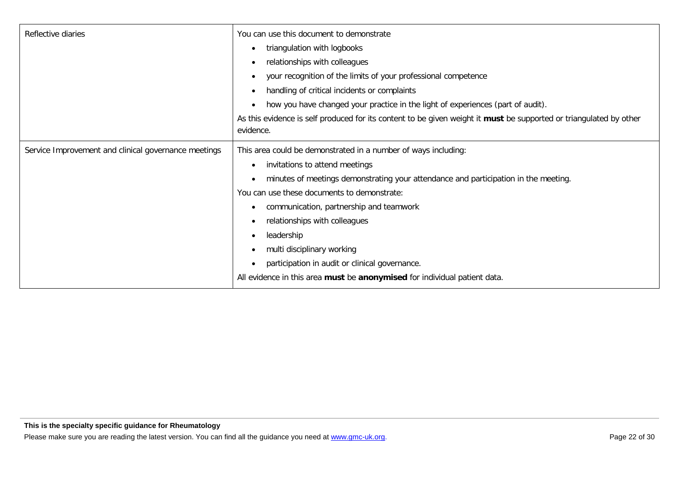| Reflective diaries                                   | You can use this document to demonstrate                                                                           |
|------------------------------------------------------|--------------------------------------------------------------------------------------------------------------------|
|                                                      | triangulation with logbooks                                                                                        |
|                                                      | relationships with colleagues<br>$\bullet$                                                                         |
|                                                      | your recognition of the limits of your professional competence                                                     |
|                                                      | handling of critical incidents or complaints<br>٠                                                                  |
|                                                      | how you have changed your practice in the light of experiences (part of audit).<br>$\bullet$                       |
|                                                      | As this evidence is self produced for its content to be given weight it must be supported or triangulated by other |
|                                                      | evidence.                                                                                                          |
| Service Improvement and clinical governance meetings | This area could be demonstrated in a number of ways including:                                                     |
|                                                      | invitations to attend meetings<br>$\bullet$                                                                        |
|                                                      | minutes of meetings demonstrating your attendance and participation in the meeting.                                |
|                                                      | You can use these documents to demonstrate:                                                                        |
|                                                      | communication, partnership and teamwork                                                                            |
|                                                      | relationships with colleagues                                                                                      |
|                                                      | leadership<br>$\bullet$                                                                                            |
|                                                      | multi disciplinary working                                                                                         |
|                                                      | participation in audit or clinical governance.<br>$\bullet$                                                        |
|                                                      | All evidence in this area must be anonymised for individual patient data.                                          |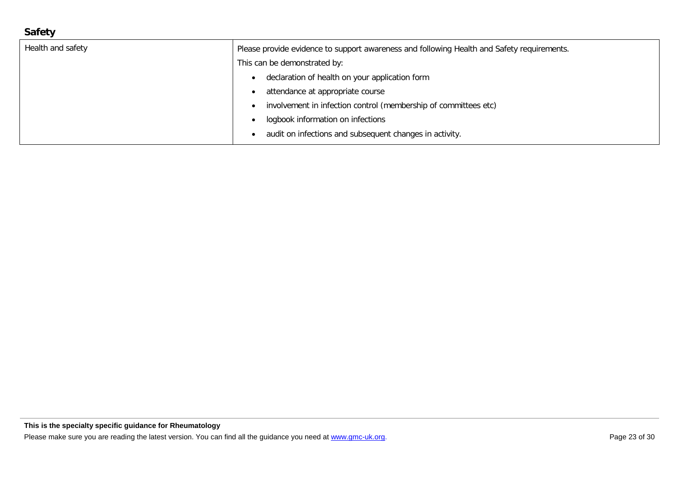# **Safety**

| Health and safety | Please provide evidence to support awareness and following Health and Safety requirements. |
|-------------------|--------------------------------------------------------------------------------------------|
|                   | This can be demonstrated by:                                                               |
|                   | declaration of health on your application form                                             |
|                   | attendance at appropriate course                                                           |
|                   | involvement in infection control (membership of committees etc)                            |
|                   | logbook information on infections                                                          |
|                   | audit on infections and subsequent changes in activity.                                    |
|                   |                                                                                            |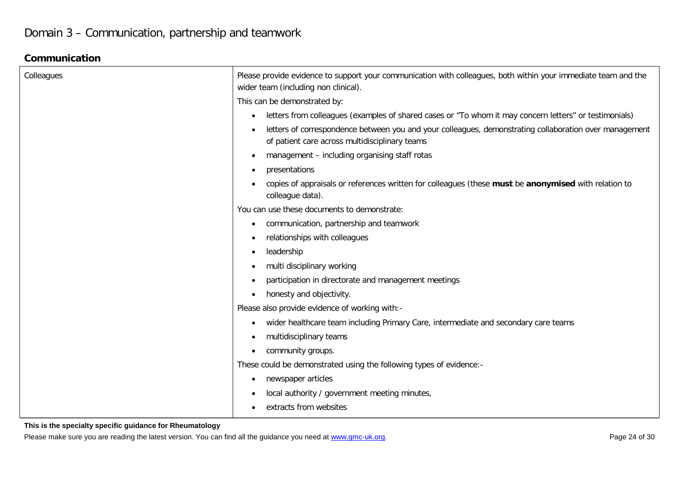### **Communication**

| Colleagues | Please provide evidence to support your communication with colleagues, both within your immediate team and the<br>wider team (including non clinical).   |
|------------|----------------------------------------------------------------------------------------------------------------------------------------------------------|
|            | This can be demonstrated by:                                                                                                                             |
|            | letters from colleagues (examples of shared cases or "To whom it may concern letters" or testimonials)<br>٠                                              |
|            | letters of correspondence between you and your colleagues, demonstrating collaboration over management<br>of patient care across multidisciplinary teams |
|            | management - including organising staff rotas                                                                                                            |
|            | presentations                                                                                                                                            |
|            | copies of appraisals or references written for colleagues (these must be anonymised with relation to<br>colleague data).                                 |
|            | You can use these documents to demonstrate:                                                                                                              |
|            | communication, partnership and teamwork<br>٠                                                                                                             |
|            | relationships with colleagues<br>$\bullet$                                                                                                               |
|            | leadership<br>$\bullet$                                                                                                                                  |
|            | multi disciplinary working<br>$\bullet$                                                                                                                  |
|            | participation in directorate and management meetings<br>$\bullet$                                                                                        |
|            | honesty and objectivity.<br>$\bullet$                                                                                                                    |
|            | Please also provide evidence of working with:-                                                                                                           |
|            | wider healthcare team including Primary Care, intermediate and secondary care teams<br>٠                                                                 |
|            | multidisciplinary teams<br>$\bullet$                                                                                                                     |
|            | community groups.<br>$\bullet$                                                                                                                           |
|            | These could be demonstrated using the following types of evidence:-                                                                                      |
|            | newspaper articles<br>$\bullet$                                                                                                                          |
|            | local authority / government meeting minutes,<br>$\bullet$                                                                                               |
|            | extracts from websites<br>$\bullet$                                                                                                                      |

#### **This is the specialty specific guidance for Rheumatology**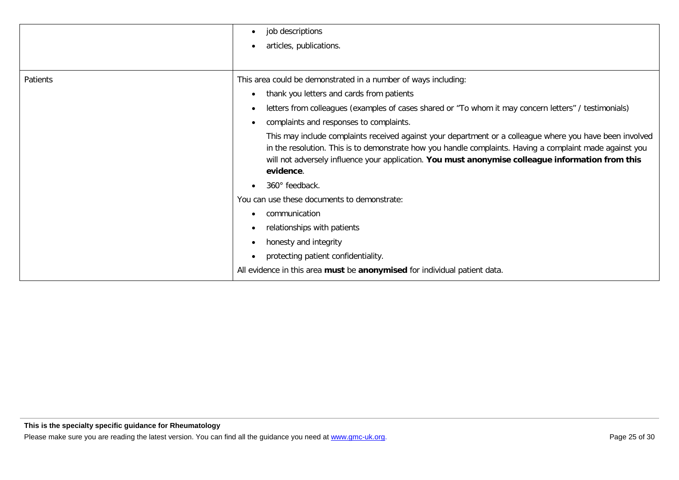|          | job descriptions<br>$\bullet$                                                                                                                                                                                                                                                                                                          |
|----------|----------------------------------------------------------------------------------------------------------------------------------------------------------------------------------------------------------------------------------------------------------------------------------------------------------------------------------------|
|          | articles, publications.                                                                                                                                                                                                                                                                                                                |
|          |                                                                                                                                                                                                                                                                                                                                        |
| Patients | This area could be demonstrated in a number of ways including:                                                                                                                                                                                                                                                                         |
|          | thank you letters and cards from patients<br>$\bullet$                                                                                                                                                                                                                                                                                 |
|          | letters from colleagues (examples of cases shared or "To whom it may concern letters" / testimonials)<br>$\bullet$                                                                                                                                                                                                                     |
|          | complaints and responses to complaints.                                                                                                                                                                                                                                                                                                |
|          | This may include complaints received against your department or a colleague where you have been involved<br>in the resolution. This is to demonstrate how you handle complaints. Having a complaint made against you<br>will not adversely influence your application. You must anonymise colleague information from this<br>evidence. |
|          | 360° feedback.                                                                                                                                                                                                                                                                                                                         |
|          | You can use these documents to demonstrate:                                                                                                                                                                                                                                                                                            |
|          | communication                                                                                                                                                                                                                                                                                                                          |
|          | relationships with patients                                                                                                                                                                                                                                                                                                            |
|          | honesty and integrity                                                                                                                                                                                                                                                                                                                  |
|          | protecting patient confidentiality.                                                                                                                                                                                                                                                                                                    |
|          | All evidence in this area must be anonymised for individual patient data.                                                                                                                                                                                                                                                              |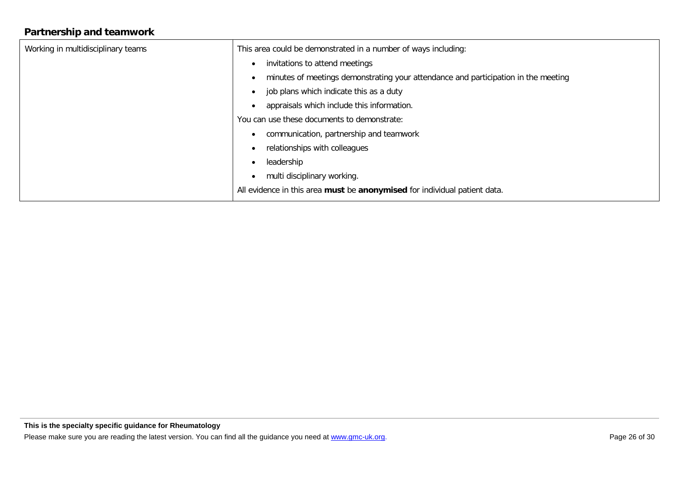# **Partnership and teamwork**

| Working in multidisciplinary teams | This area could be demonstrated in a number of ways including:                     |
|------------------------------------|------------------------------------------------------------------------------------|
|                                    | invitations to attend meetings<br>$\bullet$                                        |
|                                    | minutes of meetings demonstrating your attendance and participation in the meeting |
|                                    | job plans which indicate this as a duty<br>$\bullet$                               |
|                                    | appraisals which include this information.                                         |
|                                    | You can use these documents to demonstrate:                                        |
|                                    | communication, partnership and teamwork                                            |
|                                    | relationships with colleagues                                                      |
|                                    | leadership                                                                         |
|                                    | multi disciplinary working.                                                        |
|                                    | All evidence in this area must be anonymised for individual patient data.          |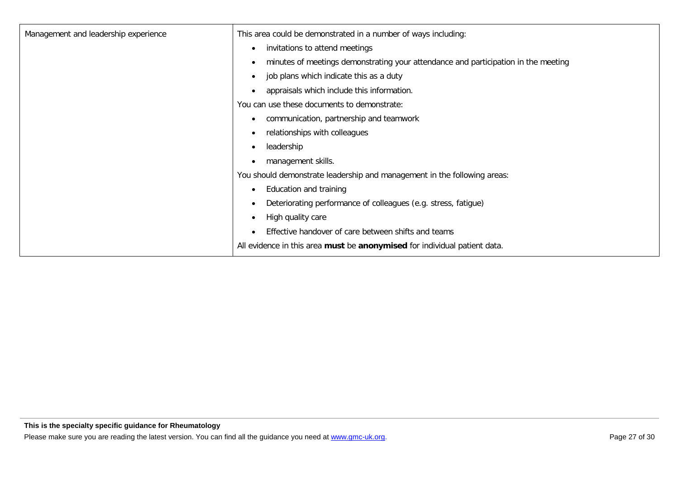| Management and leadership experience | This area could be demonstrated in a number of ways including:                                  |
|--------------------------------------|-------------------------------------------------------------------------------------------------|
|                                      | invitations to attend meetings<br>$\bullet$                                                     |
|                                      | minutes of meetings demonstrating your attendance and participation in the meeting<br>$\bullet$ |
|                                      | job plans which indicate this as a duty<br>$\bullet$                                            |
|                                      | appraisals which include this information.<br>$\bullet$                                         |
|                                      | You can use these documents to demonstrate:                                                     |
|                                      | communication, partnership and teamwork<br>$\bullet$                                            |
|                                      | relationships with colleagues<br>$\bullet$                                                      |
|                                      | leadership<br>$\bullet$                                                                         |
|                                      | management skills.<br>$\bullet$                                                                 |
|                                      | You should demonstrate leadership and management in the following areas:                        |
|                                      | Education and training<br>$\bullet$                                                             |
|                                      | Deteriorating performance of colleagues (e.g. stress, fatigue)<br>$\bullet$                     |
|                                      | High quality care<br>$\bullet$                                                                  |
|                                      | Effective handover of care between shifts and teams                                             |
|                                      | All evidence in this area must be anonymised for individual patient data.                       |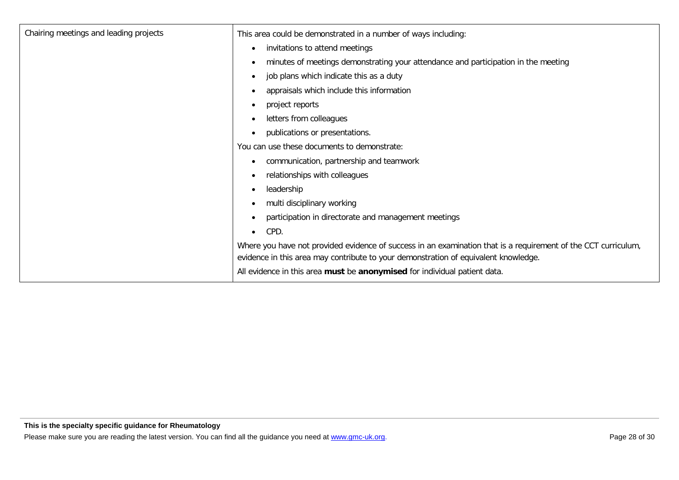| Chairing meetings and leading projects | This area could be demonstrated in a number of ways including:                                                                                                                                        |
|----------------------------------------|-------------------------------------------------------------------------------------------------------------------------------------------------------------------------------------------------------|
|                                        | invitations to attend meetings<br>$\bullet$                                                                                                                                                           |
|                                        | minutes of meetings demonstrating your attendance and participation in the meeting<br>$\bullet$                                                                                                       |
|                                        | job plans which indicate this as a duty<br>$\bullet$                                                                                                                                                  |
|                                        | appraisals which include this information<br>٠                                                                                                                                                        |
|                                        | project reports<br>$\bullet$                                                                                                                                                                          |
|                                        | letters from colleagues<br>$\bullet$                                                                                                                                                                  |
|                                        | publications or presentations.<br>$\bullet$                                                                                                                                                           |
|                                        | You can use these documents to demonstrate:                                                                                                                                                           |
|                                        | communication, partnership and teamwork<br>$\bullet$                                                                                                                                                  |
|                                        | relationships with colleagues<br>$\bullet$                                                                                                                                                            |
|                                        | leadership<br>$\bullet$                                                                                                                                                                               |
|                                        | multi disciplinary working<br>$\bullet$                                                                                                                                                               |
|                                        | participation in directorate and management meetings<br>$\bullet$                                                                                                                                     |
|                                        | CPD.<br>$\bullet$                                                                                                                                                                                     |
|                                        | Where you have not provided evidence of success in an examination that is a requirement of the CCT curriculum,<br>evidence in this area may contribute to your demonstration of equivalent knowledge. |
|                                        | All evidence in this area must be anonymised for individual patient data.                                                                                                                             |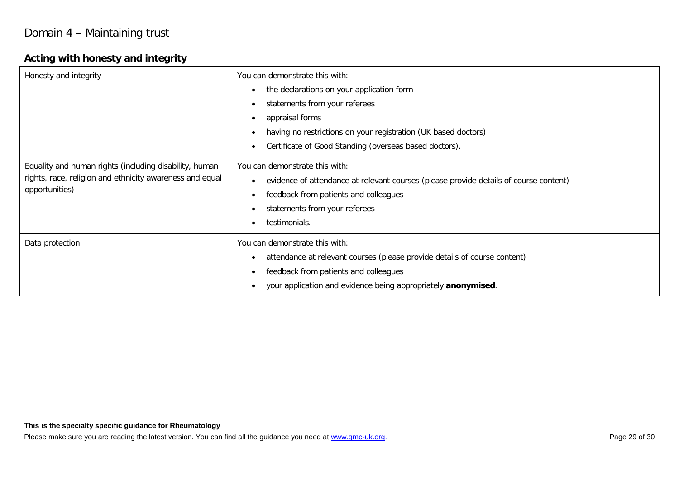# **Acting with honesty and integrity**

| Honesty and integrity                                                                                                                | You can demonstrate this with:<br>the declarations on your application form<br>$\bullet$<br>statements from your referees<br>$\bullet$<br>appraisal forms<br>$\bullet$<br>having no restrictions on your registration (UK based doctors)<br>Certificate of Good Standing (overseas based doctors). |
|--------------------------------------------------------------------------------------------------------------------------------------|----------------------------------------------------------------------------------------------------------------------------------------------------------------------------------------------------------------------------------------------------------------------------------------------------|
| Equality and human rights (including disability, human<br>rights, race, religion and ethnicity awareness and equal<br>opportunities) | You can demonstrate this with:<br>evidence of attendance at relevant courses (please provide details of course content)<br>$\bullet$<br>feedback from patients and colleagues<br>$\bullet$<br>statements from your referees<br>testimonials.                                                       |
| Data protection                                                                                                                      | You can demonstrate this with:<br>attendance at relevant courses (please provide details of course content)<br>$\bullet$<br>feedback from patients and colleagues<br>$\bullet$<br>your application and evidence being appropriately anonymised.                                                    |